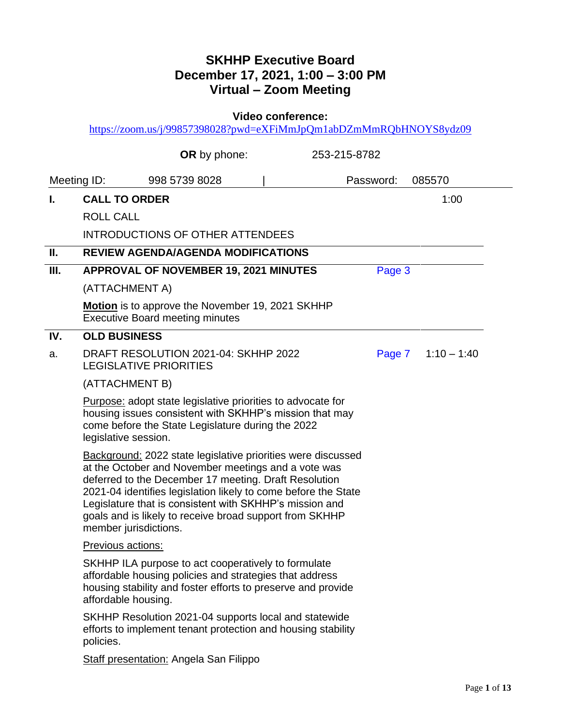## **SKHHP Executive Board December 17, 2021, 1:00 – 3:00 PM Virtual – Zoom Meeting**

**Video conference:** 

<https://zoom.us/j/99857398028?pwd=eXFiMmJpQm1abDZmMmRQbHNOYS8ydz09>

|      |                       | OR by phone:                                                                                                                                                                                                                                                                                                                                                                |  | 253-215-8782 |           |                    |
|------|-----------------------|-----------------------------------------------------------------------------------------------------------------------------------------------------------------------------------------------------------------------------------------------------------------------------------------------------------------------------------------------------------------------------|--|--------------|-----------|--------------------|
|      | Meeting ID:           | 998 5739 8028                                                                                                                                                                                                                                                                                                                                                               |  |              | Password: | 085570             |
| L.   | <b>CALL TO ORDER</b>  |                                                                                                                                                                                                                                                                                                                                                                             |  |              |           | 1:00               |
|      | <b>ROLL CALL</b>      |                                                                                                                                                                                                                                                                                                                                                                             |  |              |           |                    |
|      |                       | <b>INTRODUCTIONS OF OTHER ATTENDEES</b>                                                                                                                                                                                                                                                                                                                                     |  |              |           |                    |
| Ш.   |                       | <b>REVIEW AGENDA/AGENDA MODIFICATIONS</b>                                                                                                                                                                                                                                                                                                                                   |  |              |           |                    |
| III. |                       | <b>APPROVAL OF NOVEMBER 19, 2021 MINUTES</b><br>Page 3                                                                                                                                                                                                                                                                                                                      |  |              |           |                    |
|      | (ATTACHMENT A)        |                                                                                                                                                                                                                                                                                                                                                                             |  |              |           |                    |
|      |                       | <b>Motion</b> is to approve the November 19, 2021 SKHHP<br><b>Executive Board meeting minutes</b>                                                                                                                                                                                                                                                                           |  |              |           |                    |
| IV.  | <b>OLD BUSINESS</b>   |                                                                                                                                                                                                                                                                                                                                                                             |  |              |           |                    |
| a.   |                       | DRAFT RESOLUTION 2021-04: SKHHP 2022<br><b>LEGISLATIVE PRIORITIES</b>                                                                                                                                                                                                                                                                                                       |  |              |           | Page 7 1:10 - 1:40 |
|      | (ATTACHMENT B)        |                                                                                                                                                                                                                                                                                                                                                                             |  |              |           |                    |
|      | legislative session.  | <b>Purpose:</b> adopt state legislative priorities to advocate for<br>housing issues consistent with SKHHP's mission that may<br>come before the State Legislature during the 2022                                                                                                                                                                                          |  |              |           |                    |
|      | member jurisdictions. | <b>Background: 2022 state legislative priorities were discussed</b><br>at the October and November meetings and a vote was<br>deferred to the December 17 meeting. Draft Resolution<br>2021-04 identifies legislation likely to come before the State<br>Legislature that is consistent with SKHHP's mission and<br>goals and is likely to receive broad support from SKHHP |  |              |           |                    |
|      | Previous actions:     |                                                                                                                                                                                                                                                                                                                                                                             |  |              |           |                    |
|      | affordable housing.   | SKHHP ILA purpose to act cooperatively to formulate<br>affordable housing policies and strategies that address<br>housing stability and foster efforts to preserve and provide                                                                                                                                                                                              |  |              |           |                    |
|      | policies.             | SKHHP Resolution 2021-04 supports local and statewide<br>efforts to implement tenant protection and housing stability                                                                                                                                                                                                                                                       |  |              |           |                    |
|      |                       | <b>Staff presentation: Angela San Filippo</b>                                                                                                                                                                                                                                                                                                                               |  |              |           |                    |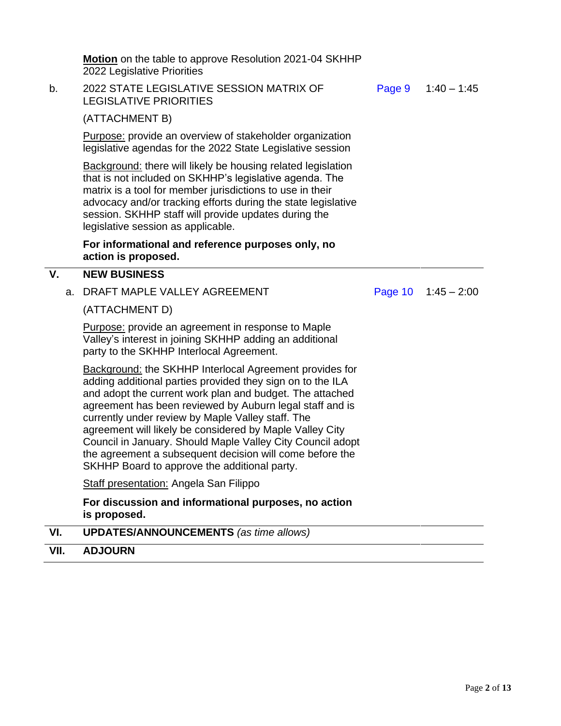**Motion** on the table to approve Resolution 2021-04 SKHHP 2022 Legislative Priorities

b. 2022 STATE LEGISLATIVE SESSION MATRIX OF LEGISLATIVE PRIORITIES

[Page 9](#page-4-0) 1:40 – 1:45

(ATTACHMENT B)

Purpose: provide an overview of stakeholder organization legislative agendas for the 2022 State Legislative session

Background: there will likely be housing related legislation that is not included on SKHHP's legislative agenda. The matrix is a tool for member jurisdictions to use in their advocacy and/or tracking efforts during the state legislative session. SKHHP staff will provide updates during the legislative session as applicable.

### **For informational and reference purposes only, no action is proposed.**

### **V. NEW BUSINESS**

a. DRAFT MAPLE VALLEY AGREEMENT

[Page](#page-5-0) 10 1:45 – 2:00

(ATTACHMENT D)

Purpose: provide an agreement in response to Maple Valley's interest in joining SKHHP adding an additional party to the SKHHP Interlocal Agreement.

Background: the SKHHP Interlocal Agreement provides for adding additional parties provided they sign on to the ILA and adopt the current work plan and budget. The attached agreement has been reviewed by Auburn legal staff and is currently under review by Maple Valley staff. The agreement will likely be considered by Maple Valley City Council in January. Should Maple Valley City Council adopt the agreement a subsequent decision will come before the SKHHP Board to approve the additional party.

Staff presentation: Angela San Filippo

#### **For discussion and informational purposes, no action is proposed.**

**VI. UPDATES/ANNOUNCEMENTS** *(as time allows)*

### **VII. ADJOURN**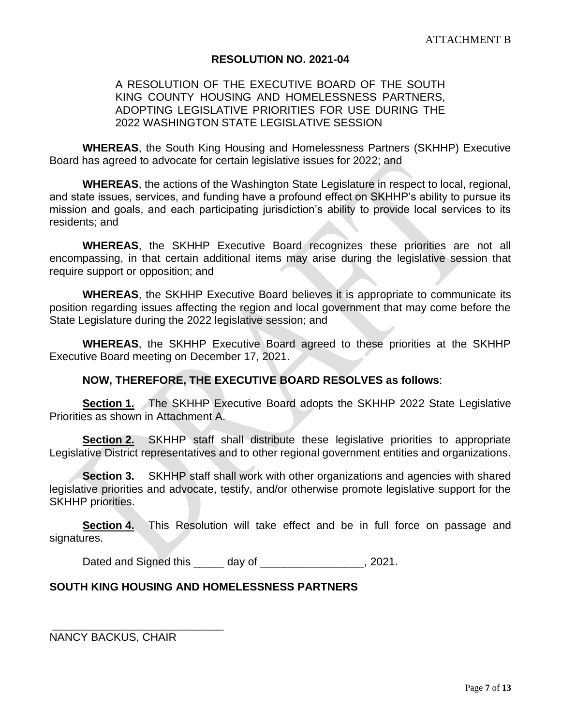### **RESOLUTION NO. 2021-04**

### <span id="page-2-0"></span>A RESOLUTION OF THE EXECUTIVE BOARD OF THE SOUTH KING COUNTY HOUSING AND HOMELESSNESS PARTNERS, ADOPTING LEGISLATIVE PRIORITIES FOR USE DURING THE 2022 WASHINGTON STATE LEGISLATIVE SESSION

**WHEREAS**, the South King Housing and Homelessness Partners (SKHHP) Executive Board has agreed to advocate for certain legislative issues for 2022; and

**WHEREAS**, the actions of the Washington State Legislature in respect to local, regional, and state issues, services, and funding have a profound effect on SKHHP's ability to pursue its mission and goals, and each participating jurisdiction's ability to provide local services to its residents; and

**WHEREAS**, the SKHHP Executive Board recognizes these priorities are not all encompassing, in that certain additional items may arise during the legislative session that require support or opposition; and

**WHEREAS**, the SKHHP Executive Board believes it is appropriate to communicate its position regarding issues affecting the region and local government that may come before the State Legislature during the 2022 legislative session; and

**WHEREAS**, the SKHHP Executive Board agreed to these priorities at the SKHHP Executive Board meeting on December 17, 2021.

### **NOW, THEREFORE, THE EXECUTIVE BOARD RESOLVES as follows**:

**Section 1.** The SKHHP Executive Board adopts the SKHHP 2022 State Legislative Priorities as shown in Attachment A.

**Section 2.** SKHHP staff shall distribute these legislative priorities to appropriate Legislative District representatives and to other regional government entities and organizations.

**Section 3.** SKHHP staff shall work with other organizations and agencies with shared legislative priorities and advocate, testify, and/or otherwise promote legislative support for the SKHHP priorities.

**Section 4.** This Resolution will take effect and be in full force on passage and signatures.

Dated and Signed this day of the same of the set of the set of the set of the set of the set of the set of the s

### **SOUTH KING HOUSING AND HOMELESSNESS PARTNERS**

NANCY BACKUS, CHAIR

\_\_\_\_\_\_\_\_\_\_\_\_\_\_\_\_\_\_\_\_\_\_\_\_\_\_\_\_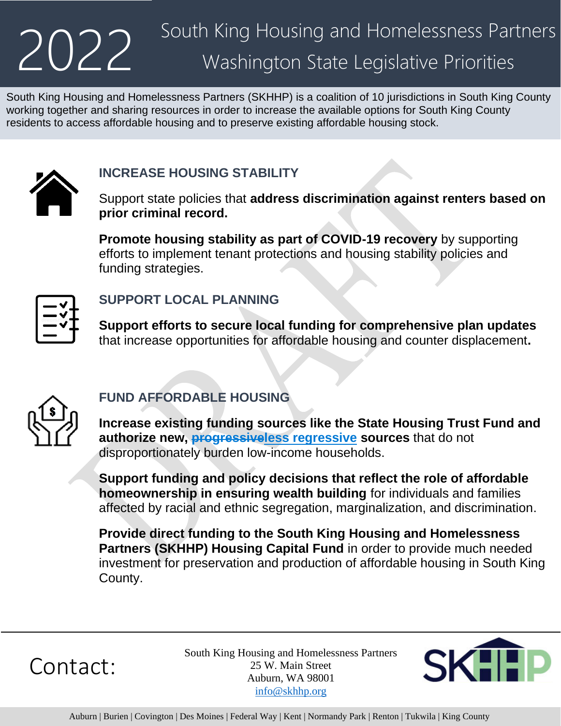# 2022

# South King Housing and Homelessness Partners Washington State Legislative Priorities

South King Housing and Homelessness Partners (SKHHP) is a coalition of 10 jurisdictions in South King County working together and sharing resources in order to increase the available options for South King County residents to access affordable housing and to preserve existing affordable housing stock.



# **INCREASE HOUSING STABILITY**

Support state policies that **address discrimination against renters based on prior criminal record.**

**Promote housing stability as part of COVID-19 recovery** by supporting efforts to implement tenant protections and housing stability policies and funding strategies.



# **SUPPORT LOCAL PLANNING**

**Support efforts to secure local funding for comprehensive plan updates** that increase opportunities for affordable housing and counter displacement**.**



# **FUND AFFORDABLE HOUSING**

**Increase existing funding sources like the State Housing Trust Fund and authorize new, progressiveless regressive sources** that do not disproportionately burden low-income households.

**Support funding and policy decisions that reflect the role of affordable homeownership in ensuring wealth building** for individuals and families affected by racial and ethnic segregation, marginalization, and discrimination.

**Provide direct funding to the South King Housing and Homelessness Partners (SKHHP) Housing Capital Fund** in order to provide much needed investment for preservation and production of affordable housing in South King County.

Contact:

South King Housing and Homelessness Partners 25 W. Main Street Auburn, WA 98001 [info@skhhp.org](mailto:info@skhhp.org)

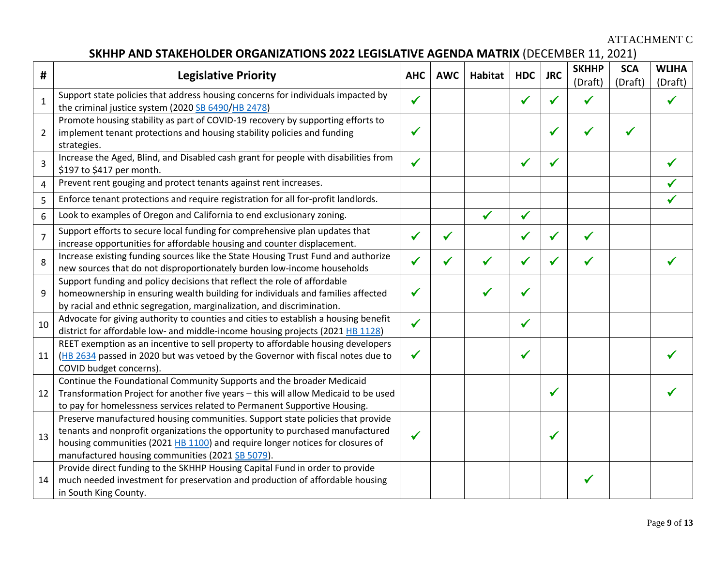ATTACHMENT C

## **SKHHP AND STAKEHOLDER ORGANIZATIONS 2022 LEGISLATIVE AGENDA MATRIX** (DECEMBER 11, 2021)

<span id="page-4-0"></span>

| #              | <b>Legislative Priority</b>                                                                                                                                                                                                                                                                          | <b>AHC</b>   | <b>AWC</b> | <b>Habitat</b> | <b>HDC</b>   | <b>JRC</b> | <b>SKHHP</b><br>(Draft) | <b>SCA</b><br>(Draft) | <b>WLIHA</b><br>(Draft) |
|----------------|------------------------------------------------------------------------------------------------------------------------------------------------------------------------------------------------------------------------------------------------------------------------------------------------------|--------------|------------|----------------|--------------|------------|-------------------------|-----------------------|-------------------------|
| $\mathbf{1}$   | Support state policies that address housing concerns for individuals impacted by<br>the criminal justice system (2020 SB 6490/HB 2478)                                                                                                                                                               | ✔            |            |                |              |            |                         |                       |                         |
| $\overline{2}$ | Promote housing stability as part of COVID-19 recovery by supporting efforts to<br>implement tenant protections and housing stability policies and funding<br>strategies.                                                                                                                            |              |            |                |              |            |                         |                       |                         |
| 3              | Increase the Aged, Blind, and Disabled cash grant for people with disabilities from<br>\$197 to \$417 per month.                                                                                                                                                                                     | ✔            |            |                |              |            |                         |                       |                         |
| 4              | Prevent rent gouging and protect tenants against rent increases.                                                                                                                                                                                                                                     |              |            |                |              |            |                         |                       |                         |
| 5              | Enforce tenant protections and require registration for all for-profit landlords.                                                                                                                                                                                                                    |              |            |                |              |            |                         |                       |                         |
| 6              | Look to examples of Oregon and California to end exclusionary zoning.                                                                                                                                                                                                                                |              |            | $\checkmark$   | $\checkmark$ |            |                         |                       |                         |
| $\overline{7}$ | Support efforts to secure local funding for comprehensive plan updates that<br>increase opportunities for affordable housing and counter displacement.                                                                                                                                               |              |            |                |              |            |                         |                       |                         |
| 8              | Increase existing funding sources like the State Housing Trust Fund and authorize<br>new sources that do not disproportionately burden low-income households                                                                                                                                         |              |            |                |              |            |                         |                       |                         |
| 9              | Support funding and policy decisions that reflect the role of affordable<br>homeownership in ensuring wealth building for individuals and families affected<br>by racial and ethnic segregation, marginalization, and discrimination.                                                                |              |            |                |              |            |                         |                       |                         |
| 10             | Advocate for giving authority to counties and cities to establish a housing benefit<br>district for affordable low- and middle-income housing projects (2021 HB 1128)                                                                                                                                | $\checkmark$ |            |                | ✔            |            |                         |                       |                         |
| 11             | REET exemption as an incentive to sell property to affordable housing developers<br>(HB 2634 passed in 2020 but was vetoed by the Governor with fiscal notes due to<br>COVID budget concerns).                                                                                                       |              |            |                |              |            |                         |                       |                         |
| 12             | Continue the Foundational Community Supports and the broader Medicaid<br>Transformation Project for another five years - this will allow Medicaid to be used<br>to pay for homelessness services related to Permanent Supportive Housing.                                                            |              |            |                |              | √          |                         |                       |                         |
| 13             | Preserve manufactured housing communities. Support state policies that provide<br>tenants and nonprofit organizations the opportunity to purchased manufactured<br>housing communities (2021 HB 1100) and require longer notices for closures of<br>manufactured housing communities (2021 SB 5079). | ✔            |            |                |              | ✔          |                         |                       |                         |
| 14             | Provide direct funding to the SKHHP Housing Capital Fund in order to provide<br>much needed investment for preservation and production of affordable housing<br>in South King County.                                                                                                                |              |            |                |              |            |                         |                       |                         |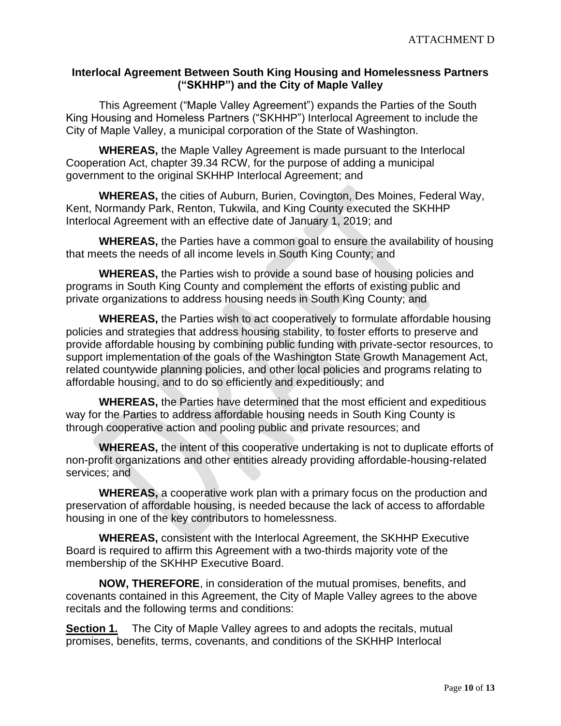### <span id="page-5-0"></span>**Interlocal Agreement Between South King Housing and Homelessness Partners ("SKHHP") and the City of Maple Valley**

This Agreement ("Maple Valley Agreement") expands the Parties of the South King Housing and Homeless Partners ("SKHHP") Interlocal Agreement to include the City of Maple Valley, a municipal corporation of the State of Washington.

**WHEREAS,** the Maple Valley Agreement is made pursuant to the Interlocal Cooperation Act, chapter 39.34 RCW, for the purpose of adding a municipal government to the original SKHHP Interlocal Agreement; and

**WHEREAS,** the cities of Auburn, Burien, Covington, Des Moines, Federal Way, Kent, Normandy Park, Renton, Tukwila, and King County executed the SKHHP Interlocal Agreement with an effective date of January 1, 2019; and

**WHEREAS,** the Parties have a common goal to ensure the availability of housing that meets the needs of all income levels in South King County; and

**WHEREAS,** the Parties wish to provide a sound base of housing policies and programs in South King County and complement the efforts of existing public and private organizations to address housing needs in South King County; and

**WHEREAS,** the Parties wish to act cooperatively to formulate affordable housing policies and strategies that address housing stability, to foster efforts to preserve and provide affordable housing by combining public funding with private-sector resources, to support implementation of the goals of the Washington State Growth Management Act, related countywide planning policies, and other local policies and programs relating to affordable housing, and to do so efficiently and expeditiously; and

**WHEREAS,** the Parties have determined that the most efficient and expeditious way for the Parties to address affordable housing needs in South King County is through cooperative action and pooling public and private resources; and

**WHEREAS,** the intent of this cooperative undertaking is not to duplicate efforts of non-profit organizations and other entities already providing affordable-housing-related services; and

**WHEREAS,** a cooperative work plan with a primary focus on the production and preservation of affordable housing, is needed because the lack of access to affordable housing in one of the key contributors to homelessness.

**WHEREAS,** consistent with the Interlocal Agreement, the SKHHP Executive Board is required to affirm this Agreement with a two-thirds majority vote of the membership of the SKHHP Executive Board.

**NOW, THEREFORE**, in consideration of the mutual promises, benefits, and covenants contained in this Agreement, the City of Maple Valley agrees to the above recitals and the following terms and conditions:

**Section 1.** The City of Maple Valley agrees to and adopts the recitals, mutual promises, benefits, terms, covenants, and conditions of the SKHHP Interlocal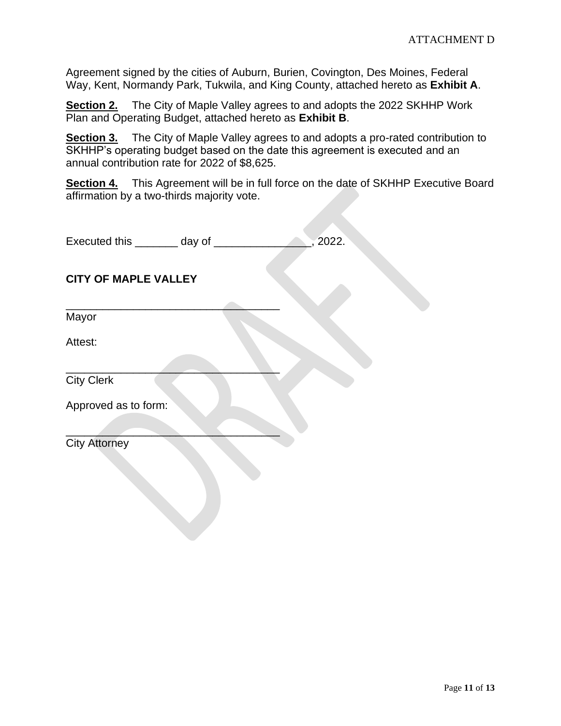Agreement signed by the cities of Auburn, Burien, Covington, Des Moines, Federal Way, Kent, Normandy Park, Tukwila, and King County, attached hereto as **Exhibit A**.

**Section 2.** The City of Maple Valley agrees to and adopts the 2022 SKHHP Work Plan and Operating Budget, attached hereto as **Exhibit B**.

**Section 3.** The City of Maple Valley agrees to and adopts a pro-rated contribution to SKHHP's operating budget based on the date this agreement is executed and an annual contribution rate for 2022 of \$8,625.

**Section 4.** This Agreement will be in full force on the date of SKHHP Executive Board affirmation by a two-thirds majority vote.

| Executed this | day of | .2022. |
|---------------|--------|--------|
|               |        |        |

### **CITY OF MAPLE VALLEY**

 $\overline{\phantom{a}}$  , where  $\overline{\phantom{a}}$  , where  $\overline{\phantom{a}}$  ,  $\overline{\phantom{a}}$  ,  $\overline{\phantom{a}}$  ,  $\overline{\phantom{a}}$  ,  $\overline{\phantom{a}}$  ,  $\overline{\phantom{a}}$  ,  $\overline{\phantom{a}}$  ,  $\overline{\phantom{a}}$  ,  $\overline{\phantom{a}}$  ,  $\overline{\phantom{a}}$  ,  $\overline{\phantom{a}}$  ,  $\overline{\phantom{a}}$  ,  $\overline{\phantom{a}}$  ,

 $\mathcal{L}=\mathcal{L}=\mathcal{L}=\mathcal{L}=\mathcal{L}=\mathcal{L}=\mathcal{L}=\mathcal{L}=\mathcal{L}=\mathcal{L}=\mathcal{L}=\mathcal{L}=\mathcal{L}=\mathcal{L}=\mathcal{L}=\mathcal{L}=\mathcal{L}=\mathcal{L}=\mathcal{L}=\mathcal{L}=\mathcal{L}=\mathcal{L}=\mathcal{L}=\mathcal{L}=\mathcal{L}=\mathcal{L}=\mathcal{L}=\mathcal{L}=\mathcal{L}=\mathcal{L}=\mathcal{L}=\mathcal{L}=\mathcal{L}=\mathcal{L}=\mathcal{L}=\mathcal{L}=\mathcal{$ 

 $\mathcal{L}=\mathcal{L}=\mathcal{L}=\mathcal{L}=\mathcal{L}=\mathcal{L}=\mathcal{L}=\mathcal{L}=\mathcal{L}=\mathcal{L}=\mathcal{L}=\mathcal{L}=\mathcal{L}=\mathcal{L}=\mathcal{L}=\mathcal{L}=\mathcal{L}=\mathcal{L}=\mathcal{L}=\mathcal{L}=\mathcal{L}=\mathcal{L}=\mathcal{L}=\mathcal{L}=\mathcal{L}=\mathcal{L}=\mathcal{L}=\mathcal{L}=\mathcal{L}=\mathcal{L}=\mathcal{L}=\mathcal{L}=\mathcal{L}=\mathcal{L}=\mathcal{L}=\mathcal{L}=\mathcal{$ 

Mayor

Attest:

City Clerk

Approved as to form:

City Attorney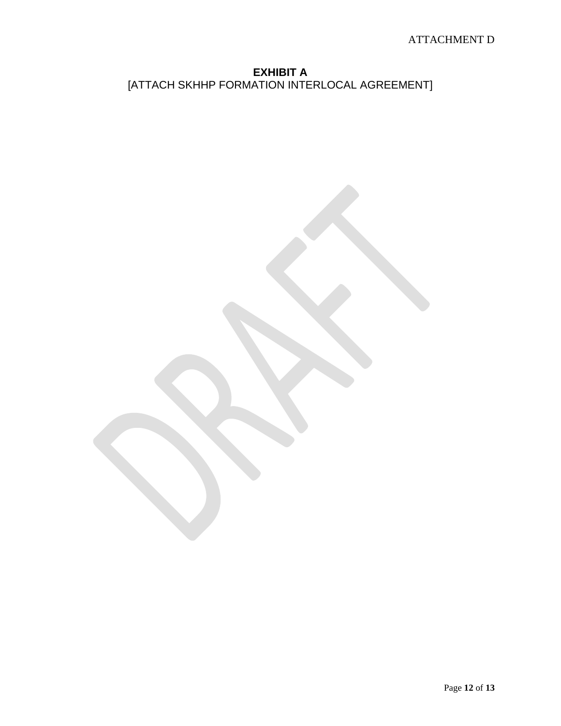**EXHIBIT A** [ATTACH SKHHP FORMATION INTERLOCAL AGREEMENT]